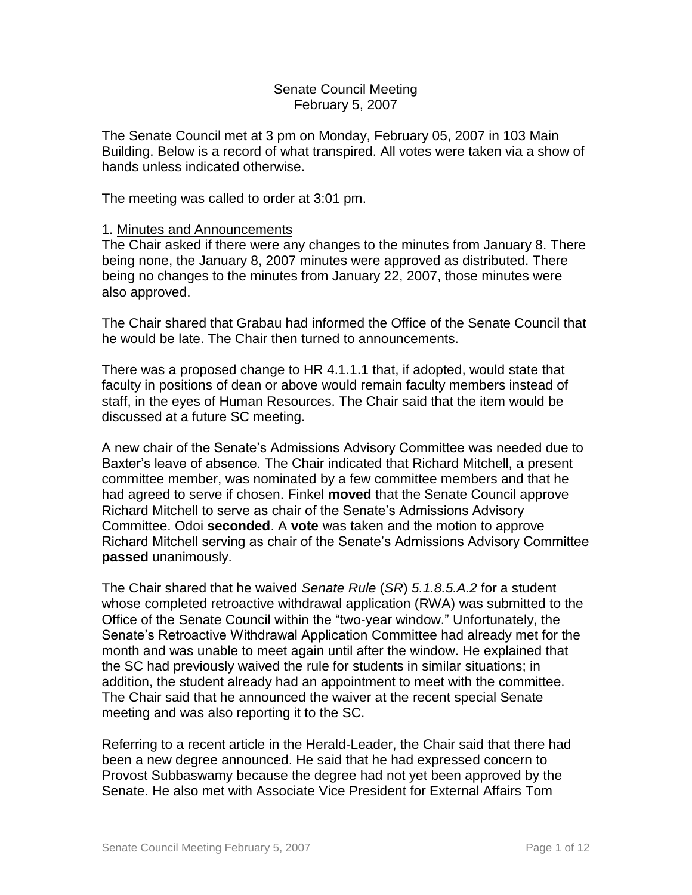### Senate Council Meeting February 5, 2007

The Senate Council met at 3 pm on Monday, February 05, 2007 in 103 Main Building. Below is a record of what transpired. All votes were taken via a show of hands unless indicated otherwise.

The meeting was called to order at 3:01 pm.

### 1. Minutes and Announcements

The Chair asked if there were any changes to the minutes from January 8. There being none, the January 8, 2007 minutes were approved as distributed. There being no changes to the minutes from January 22, 2007, those minutes were also approved.

The Chair shared that Grabau had informed the Office of the Senate Council that he would be late. The Chair then turned to announcements.

There was a proposed change to HR 4.1.1.1 that, if adopted, would state that faculty in positions of dean or above would remain faculty members instead of staff, in the eyes of Human Resources. The Chair said that the item would be discussed at a future SC meeting.

A new chair of the Senate's Admissions Advisory Committee was needed due to Baxter's leave of absence. The Chair indicated that Richard Mitchell, a present committee member, was nominated by a few committee members and that he had agreed to serve if chosen. Finkel **moved** that the Senate Council approve Richard Mitchell to serve as chair of the Senate's Admissions Advisory Committee. Odoi **seconded**. A **vote** was taken and the motion to approve Richard Mitchell serving as chair of the Senate's Admissions Advisory Committee **passed** unanimously.

The Chair shared that he waived *Senate Rule* (*SR*) *5.1.8.5.A.2* for a student whose completed retroactive withdrawal application (RWA) was submitted to the Office of the Senate Council within the "two-year window." Unfortunately, the Senate's Retroactive Withdrawal Application Committee had already met for the month and was unable to meet again until after the window. He explained that the SC had previously waived the rule for students in similar situations; in addition, the student already had an appointment to meet with the committee. The Chair said that he announced the waiver at the recent special Senate meeting and was also reporting it to the SC.

Referring to a recent article in the Herald-Leader, the Chair said that there had been a new degree announced. He said that he had expressed concern to Provost Subbaswamy because the degree had not yet been approved by the Senate. He also met with Associate Vice President for External Affairs Tom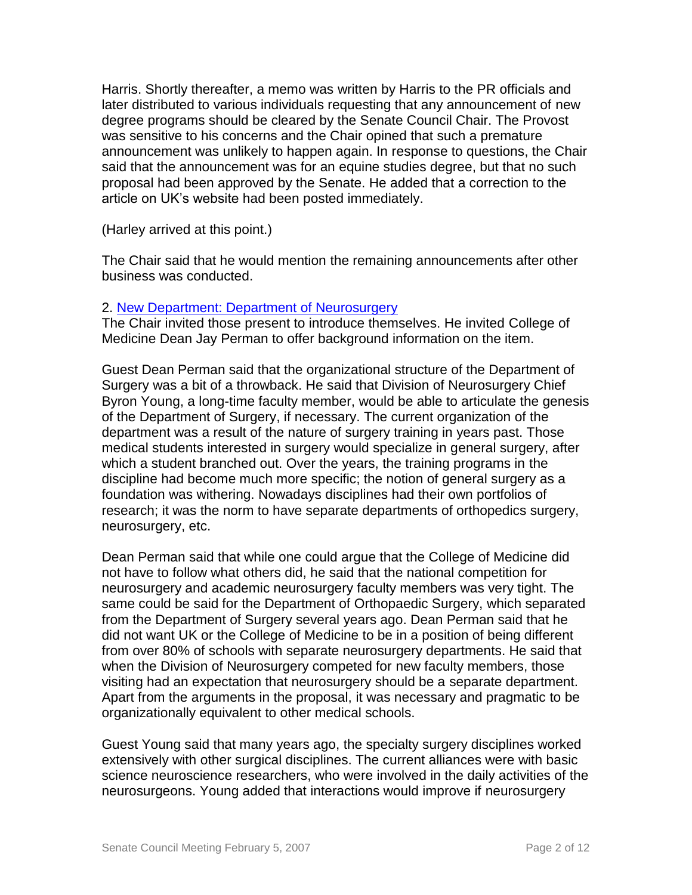Harris. Shortly thereafter, a memo was written by Harris to the PR officials and later distributed to various individuals requesting that any announcement of new degree programs should be cleared by the Senate Council Chair. The Provost was sensitive to his concerns and the Chair opined that such a premature announcement was unlikely to happen again. In response to questions, the Chair said that the announcement was for an equine studies degree, but that no such proposal had been approved by the Senate. He added that a correction to the article on UK's website had been posted immediately.

(Harley arrived at this point.)

The Chair said that he would mention the remaining announcements after other business was conducted.

## 2. [New Department: Department of Neurosurgery](http://www.uky.edu/USC/New/files/20070205/New%20Dept%20of%20Neurosurgery_Complete.pdf)

The Chair invited those present to introduce themselves. He invited College of Medicine Dean Jay Perman to offer background information on the item.

Guest Dean Perman said that the organizational structure of the Department of Surgery was a bit of a throwback. He said that Division of Neurosurgery Chief Byron Young, a long-time faculty member, would be able to articulate the genesis of the Department of Surgery, if necessary. The current organization of the department was a result of the nature of surgery training in years past. Those medical students interested in surgery would specialize in general surgery, after which a student branched out. Over the years, the training programs in the discipline had become much more specific; the notion of general surgery as a foundation was withering. Nowadays disciplines had their own portfolios of research; it was the norm to have separate departments of orthopedics surgery, neurosurgery, etc.

Dean Perman said that while one could argue that the College of Medicine did not have to follow what others did, he said that the national competition for neurosurgery and academic neurosurgery faculty members was very tight. The same could be said for the Department of Orthopaedic Surgery, which separated from the Department of Surgery several years ago. Dean Perman said that he did not want UK or the College of Medicine to be in a position of being different from over 80% of schools with separate neurosurgery departments. He said that when the Division of Neurosurgery competed for new faculty members, those visiting had an expectation that neurosurgery should be a separate department. Apart from the arguments in the proposal, it was necessary and pragmatic to be organizationally equivalent to other medical schools.

Guest Young said that many years ago, the specialty surgery disciplines worked extensively with other surgical disciplines. The current alliances were with basic science neuroscience researchers, who were involved in the daily activities of the neurosurgeons. Young added that interactions would improve if neurosurgery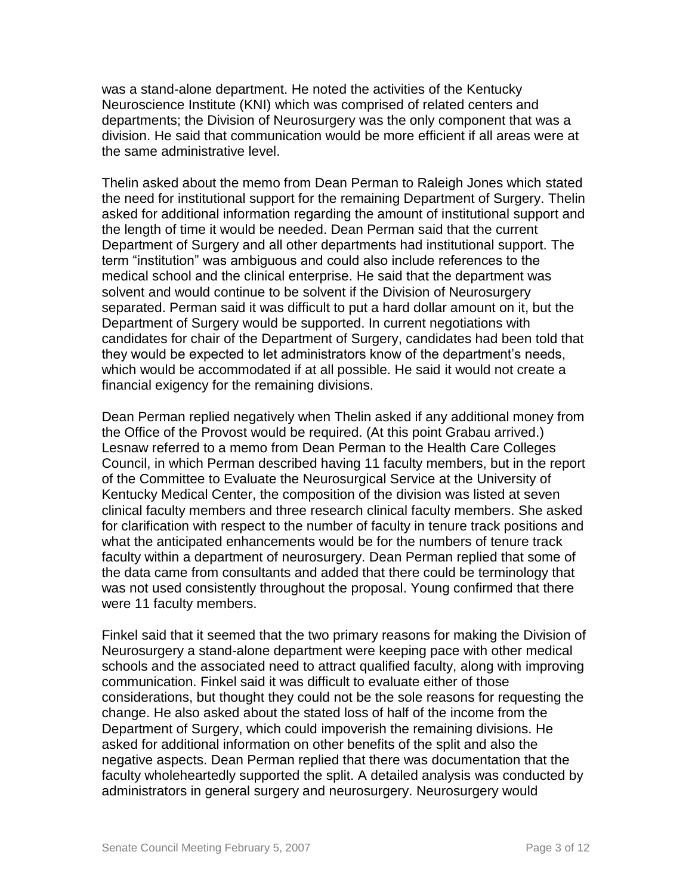was a stand-alone department. He noted the activities of the Kentucky Neuroscience Institute (KNI) which was comprised of related centers and departments; the Division of Neurosurgery was the only component that was a division. He said that communication would be more efficient if all areas were at the same administrative level.

Thelin asked about the memo from Dean Perman to Raleigh Jones which stated the need for institutional support for the remaining Department of Surgery. Thelin asked for additional information regarding the amount of institutional support and the length of time it would be needed. Dean Perman said that the current Department of Surgery and all other departments had institutional support. The term "institution" was ambiguous and could also include references to the medical school and the clinical enterprise. He said that the department was solvent and would continue to be solvent if the Division of Neurosurgery separated. Perman said it was difficult to put a hard dollar amount on it, but the Department of Surgery would be supported. In current negotiations with candidates for chair of the Department of Surgery, candidates had been told that they would be expected to let administrators know of the department's needs, which would be accommodated if at all possible. He said it would not create a financial exigency for the remaining divisions.

Dean Perman replied negatively when Thelin asked if any additional money from the Office of the Provost would be required. (At this point Grabau arrived.) Lesnaw referred to a memo from Dean Perman to the Health Care Colleges Council, in which Perman described having 11 faculty members, but in the report of the Committee to Evaluate the Neurosurgical Service at the University of Kentucky Medical Center, the composition of the division was listed at seven clinical faculty members and three research clinical faculty members. She asked for clarification with respect to the number of faculty in tenure track positions and what the anticipated enhancements would be for the numbers of tenure track faculty within a department of neurosurgery. Dean Perman replied that some of the data came from consultants and added that there could be terminology that was not used consistently throughout the proposal. Young confirmed that there were 11 faculty members.

Finkel said that it seemed that the two primary reasons for making the Division of Neurosurgery a stand-alone department were keeping pace with other medical schools and the associated need to attract qualified faculty, along with improving communication. Finkel said it was difficult to evaluate either of those considerations, but thought they could not be the sole reasons for requesting the change. He also asked about the stated loss of half of the income from the Department of Surgery, which could impoverish the remaining divisions. He asked for additional information on other benefits of the split and also the negative aspects. Dean Perman replied that there was documentation that the faculty wholeheartedly supported the split. A detailed analysis was conducted by administrators in general surgery and neurosurgery. Neurosurgery would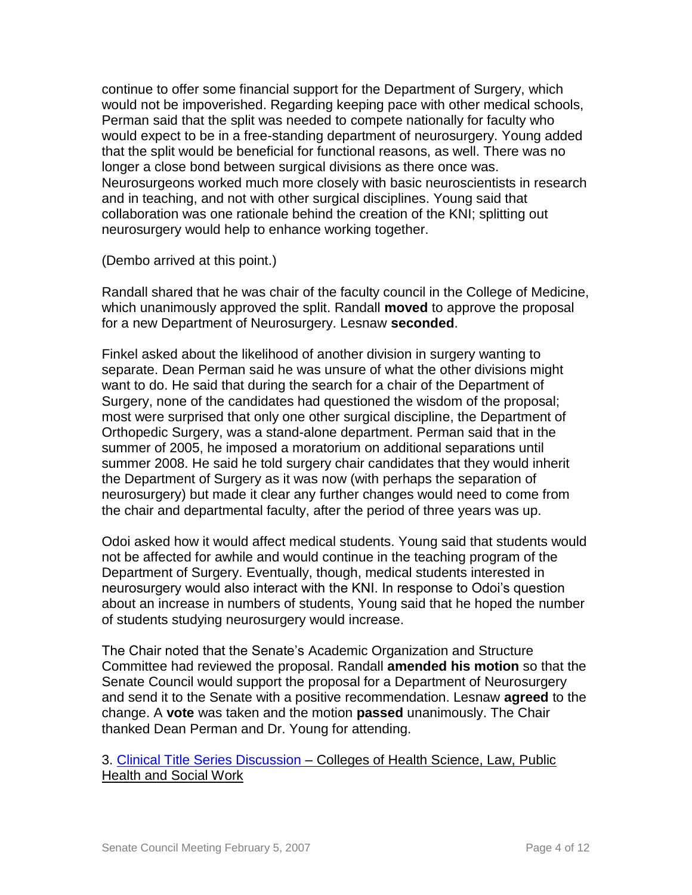continue to offer some financial support for the Department of Surgery, which would not be impoverished. Regarding keeping pace with other medical schools, Perman said that the split was needed to compete nationally for faculty who would expect to be in a free-standing department of neurosurgery. Young added that the split would be beneficial for functional reasons, as well. There was no longer a close bond between surgical divisions as there once was. Neurosurgeons worked much more closely with basic neuroscientists in research and in teaching, and not with other surgical disciplines. Young said that collaboration was one rationale behind the creation of the KNI; splitting out neurosurgery would help to enhance working together.

(Dembo arrived at this point.)

Randall shared that he was chair of the faculty council in the College of Medicine, which unanimously approved the split. Randall **moved** to approve the proposal for a new Department of Neurosurgery. Lesnaw **seconded**.

Finkel asked about the likelihood of another division in surgery wanting to separate. Dean Perman said he was unsure of what the other divisions might want to do. He said that during the search for a chair of the Department of Surgery, none of the candidates had questioned the wisdom of the proposal; most were surprised that only one other surgical discipline, the Department of Orthopedic Surgery, was a stand-alone department. Perman said that in the summer of 2005, he imposed a moratorium on additional separations until summer 2008. He said he told surgery chair candidates that they would inherit the Department of Surgery as it was now (with perhaps the separation of neurosurgery) but made it clear any further changes would need to come from the chair and departmental faculty, after the period of three years was up.

Odoi asked how it would affect medical students. Young said that students would not be affected for awhile and would continue in the teaching program of the Department of Surgery. Eventually, though, medical students interested in neurosurgery would also interact with the KNI. In response to Odoi's question about an increase in numbers of students, Young said that he hoped the number of students studying neurosurgery would increase.

The Chair noted that the Senate's Academic Organization and Structure Committee had reviewed the proposal. Randall **amended his motion** so that the Senate Council would support the proposal for a Department of Neurosurgery and send it to the Senate with a positive recommendation. Lesnaw **agreed** to the change. A **vote** was taken and the motion **passed** unanimously. The Chair thanked Dean Perman and Dr. Young for attending.

3. [Clinical Title Series Discussion](http://www.uky.edu/USC/New/files/20070205/Clincial%20Title%20Series%20Proposal.pdf) – Colleges of Health Science, Law, Public Health and Social Work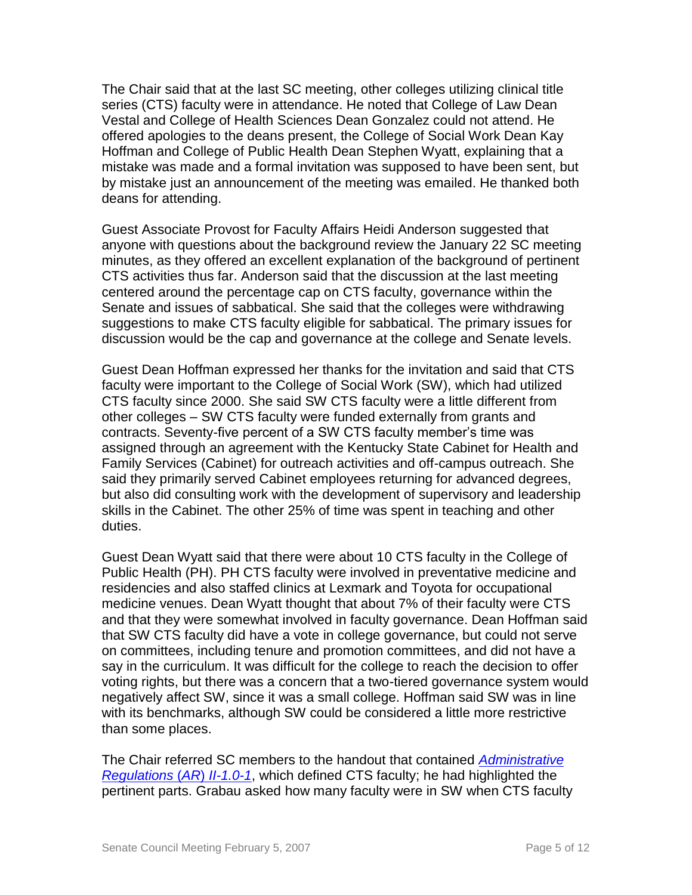The Chair said that at the last SC meeting, other colleges utilizing clinical title series (CTS) faculty were in attendance. He noted that College of Law Dean Vestal and College of Health Sciences Dean Gonzalez could not attend. He offered apologies to the deans present, the College of Social Work Dean Kay Hoffman and College of Public Health Dean Stephen Wyatt, explaining that a mistake was made and a formal invitation was supposed to have been sent, but by mistake just an announcement of the meeting was emailed. He thanked both deans for attending.

Guest Associate Provost for Faculty Affairs Heidi Anderson suggested that anyone with questions about the background review the January 22 SC meeting minutes, as they offered an excellent explanation of the background of pertinent CTS activities thus far. Anderson said that the discussion at the last meeting centered around the percentage cap on CTS faculty, governance within the Senate and issues of sabbatical. She said that the colleges were withdrawing suggestions to make CTS faculty eligible for sabbatical. The primary issues for discussion would be the cap and governance at the college and Senate levels.

Guest Dean Hoffman expressed her thanks for the invitation and said that CTS faculty were important to the College of Social Work (SW), which had utilized CTS faculty since 2000. She said SW CTS faculty were a little different from other colleges – SW CTS faculty were funded externally from grants and contracts. Seventy-five percent of a SW CTS faculty member's time was assigned through an agreement with the Kentucky State Cabinet for Health and Family Services (Cabinet) for outreach activities and off-campus outreach. She said they primarily served Cabinet employees returning for advanced degrees, but also did consulting work with the development of supervisory and leadership skills in the Cabinet. The other 25% of time was spent in teaching and other duties.

Guest Dean Wyatt said that there were about 10 CTS faculty in the College of Public Health (PH). PH CTS faculty were involved in preventative medicine and residencies and also staffed clinics at Lexmark and Toyota for occupational medicine venues. Dean Wyatt thought that about 7% of their faculty were CTS and that they were somewhat involved in faculty governance. Dean Hoffman said that SW CTS faculty did have a vote in college governance, but could not serve on committees, including tenure and promotion committees, and did not have a say in the curriculum. It was difficult for the college to reach the decision to offer voting rights, but there was a concern that a two-tiered governance system would negatively affect SW, since it was a small college. Hoffman said SW was in line with its benchmarks, although SW could be considered a little more restrictive than some places.

The Chair referred SC members to the handout that contained *[Administrative](http://www.uky.edu/USC/New/files/20070205/AR%20II-1_0-1.pdf)  [Regulations](http://www.uky.edu/USC/New/files/20070205/AR%20II-1_0-1.pdf)* (*AR*) *II-1.0-1*, which defined CTS faculty; he had highlighted the pertinent parts. Grabau asked how many faculty were in SW when CTS faculty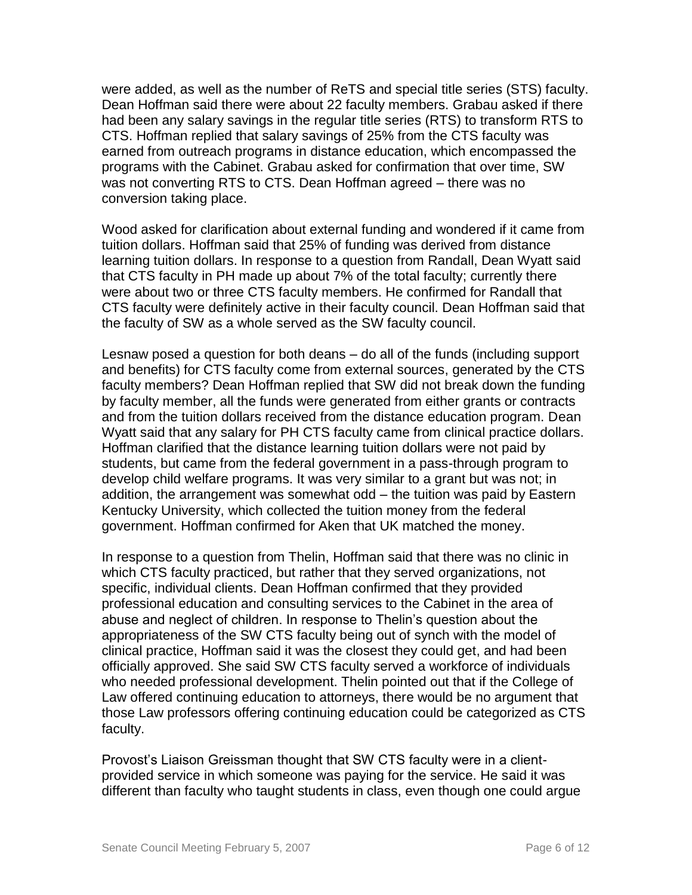were added, as well as the number of ReTS and special title series (STS) faculty. Dean Hoffman said there were about 22 faculty members. Grabau asked if there had been any salary savings in the regular title series (RTS) to transform RTS to CTS. Hoffman replied that salary savings of 25% from the CTS faculty was earned from outreach programs in distance education, which encompassed the programs with the Cabinet. Grabau asked for confirmation that over time, SW was not converting RTS to CTS. Dean Hoffman agreed – there was no conversion taking place.

Wood asked for clarification about external funding and wondered if it came from tuition dollars. Hoffman said that 25% of funding was derived from distance learning tuition dollars. In response to a question from Randall, Dean Wyatt said that CTS faculty in PH made up about 7% of the total faculty; currently there were about two or three CTS faculty members. He confirmed for Randall that CTS faculty were definitely active in their faculty council. Dean Hoffman said that the faculty of SW as a whole served as the SW faculty council.

Lesnaw posed a question for both deans – do all of the funds (including support and benefits) for CTS faculty come from external sources, generated by the CTS faculty members? Dean Hoffman replied that SW did not break down the funding by faculty member, all the funds were generated from either grants or contracts and from the tuition dollars received from the distance education program. Dean Wyatt said that any salary for PH CTS faculty came from clinical practice dollars. Hoffman clarified that the distance learning tuition dollars were not paid by students, but came from the federal government in a pass-through program to develop child welfare programs. It was very similar to a grant but was not; in addition, the arrangement was somewhat odd – the tuition was paid by Eastern Kentucky University, which collected the tuition money from the federal government. Hoffman confirmed for Aken that UK matched the money.

In response to a question from Thelin, Hoffman said that there was no clinic in which CTS faculty practiced, but rather that they served organizations, not specific, individual clients. Dean Hoffman confirmed that they provided professional education and consulting services to the Cabinet in the area of abuse and neglect of children. In response to Thelin's question about the appropriateness of the SW CTS faculty being out of synch with the model of clinical practice, Hoffman said it was the closest they could get, and had been officially approved. She said SW CTS faculty served a workforce of individuals who needed professional development. Thelin pointed out that if the College of Law offered continuing education to attorneys, there would be no argument that those Law professors offering continuing education could be categorized as CTS faculty.

Provost's Liaison Greissman thought that SW CTS faculty were in a clientprovided service in which someone was paying for the service. He said it was different than faculty who taught students in class, even though one could argue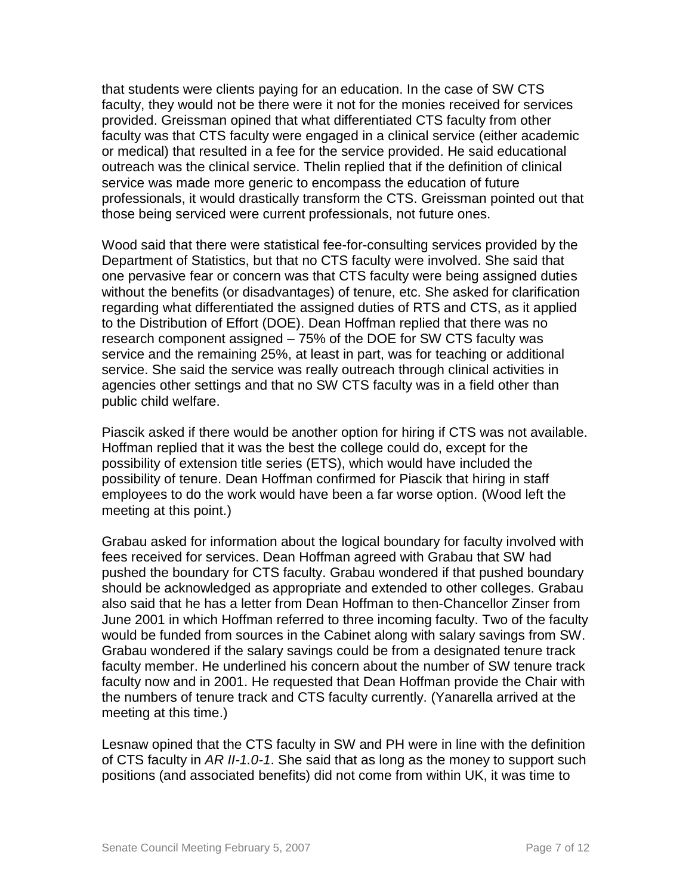that students were clients paying for an education. In the case of SW CTS faculty, they would not be there were it not for the monies received for services provided. Greissman opined that what differentiated CTS faculty from other faculty was that CTS faculty were engaged in a clinical service (either academic or medical) that resulted in a fee for the service provided. He said educational outreach was the clinical service. Thelin replied that if the definition of clinical service was made more generic to encompass the education of future professionals, it would drastically transform the CTS. Greissman pointed out that those being serviced were current professionals, not future ones.

Wood said that there were statistical fee-for-consulting services provided by the Department of Statistics, but that no CTS faculty were involved. She said that one pervasive fear or concern was that CTS faculty were being assigned duties without the benefits (or disadvantages) of tenure, etc. She asked for clarification regarding what differentiated the assigned duties of RTS and CTS, as it applied to the Distribution of Effort (DOE). Dean Hoffman replied that there was no research component assigned – 75% of the DOE for SW CTS faculty was service and the remaining 25%, at least in part, was for teaching or additional service. She said the service was really outreach through clinical activities in agencies other settings and that no SW CTS faculty was in a field other than public child welfare.

Piascik asked if there would be another option for hiring if CTS was not available. Hoffman replied that it was the best the college could do, except for the possibility of extension title series (ETS), which would have included the possibility of tenure. Dean Hoffman confirmed for Piascik that hiring in staff employees to do the work would have been a far worse option. (Wood left the meeting at this point.)

Grabau asked for information about the logical boundary for faculty involved with fees received for services. Dean Hoffman agreed with Grabau that SW had pushed the boundary for CTS faculty. Grabau wondered if that pushed boundary should be acknowledged as appropriate and extended to other colleges. Grabau also said that he has a letter from Dean Hoffman to then-Chancellor Zinser from June 2001 in which Hoffman referred to three incoming faculty. Two of the faculty would be funded from sources in the Cabinet along with salary savings from SW. Grabau wondered if the salary savings could be from a designated tenure track faculty member. He underlined his concern about the number of SW tenure track faculty now and in 2001. He requested that Dean Hoffman provide the Chair with the numbers of tenure track and CTS faculty currently. (Yanarella arrived at the meeting at this time.)

Lesnaw opined that the CTS faculty in SW and PH were in line with the definition of CTS faculty in *AR II-1.0-1*. She said that as long as the money to support such positions (and associated benefits) did not come from within UK, it was time to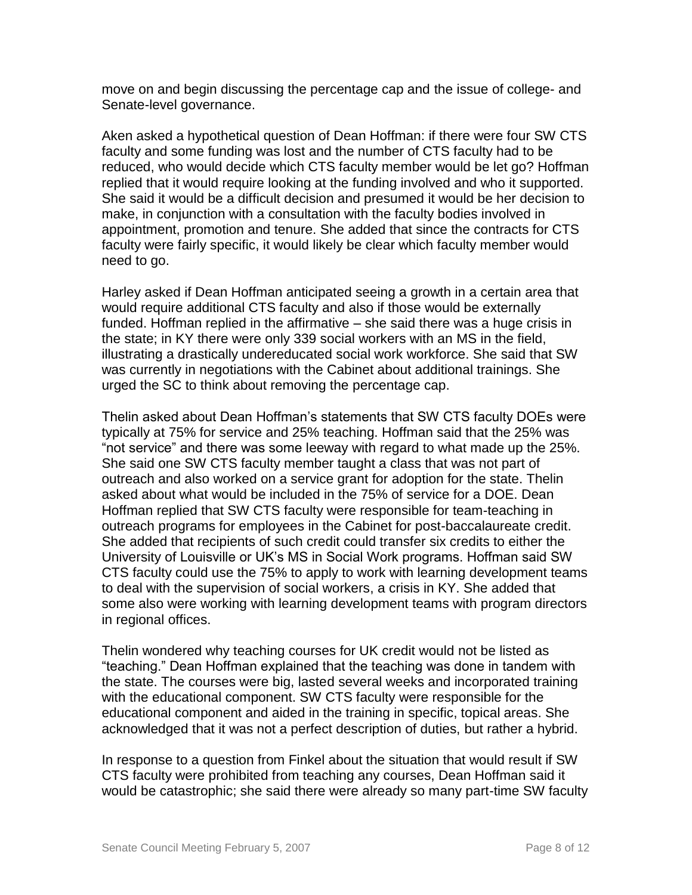move on and begin discussing the percentage cap and the issue of college- and Senate-level governance.

Aken asked a hypothetical question of Dean Hoffman: if there were four SW CTS faculty and some funding was lost and the number of CTS faculty had to be reduced, who would decide which CTS faculty member would be let go? Hoffman replied that it would require looking at the funding involved and who it supported. She said it would be a difficult decision and presumed it would be her decision to make, in conjunction with a consultation with the faculty bodies involved in appointment, promotion and tenure. She added that since the contracts for CTS faculty were fairly specific, it would likely be clear which faculty member would need to go.

Harley asked if Dean Hoffman anticipated seeing a growth in a certain area that would require additional CTS faculty and also if those would be externally funded. Hoffman replied in the affirmative – she said there was a huge crisis in the state; in KY there were only 339 social workers with an MS in the field, illustrating a drastically undereducated social work workforce. She said that SW was currently in negotiations with the Cabinet about additional trainings. She urged the SC to think about removing the percentage cap.

Thelin asked about Dean Hoffman's statements that SW CTS faculty DOEs were typically at 75% for service and 25% teaching. Hoffman said that the 25% was "not service" and there was some leeway with regard to what made up the 25%. She said one SW CTS faculty member taught a class that was not part of outreach and also worked on a service grant for adoption for the state. Thelin asked about what would be included in the 75% of service for a DOE. Dean Hoffman replied that SW CTS faculty were responsible for team-teaching in outreach programs for employees in the Cabinet for post-baccalaureate credit. She added that recipients of such credit could transfer six credits to either the University of Louisville or UK's MS in Social Work programs. Hoffman said SW CTS faculty could use the 75% to apply to work with learning development teams to deal with the supervision of social workers, a crisis in KY. She added that some also were working with learning development teams with program directors in regional offices.

Thelin wondered why teaching courses for UK credit would not be listed as "teaching." Dean Hoffman explained that the teaching was done in tandem with the state. The courses were big, lasted several weeks and incorporated training with the educational component. SW CTS faculty were responsible for the educational component and aided in the training in specific, topical areas. She acknowledged that it was not a perfect description of duties, but rather a hybrid.

In response to a question from Finkel about the situation that would result if SW CTS faculty were prohibited from teaching any courses, Dean Hoffman said it would be catastrophic; she said there were already so many part-time SW faculty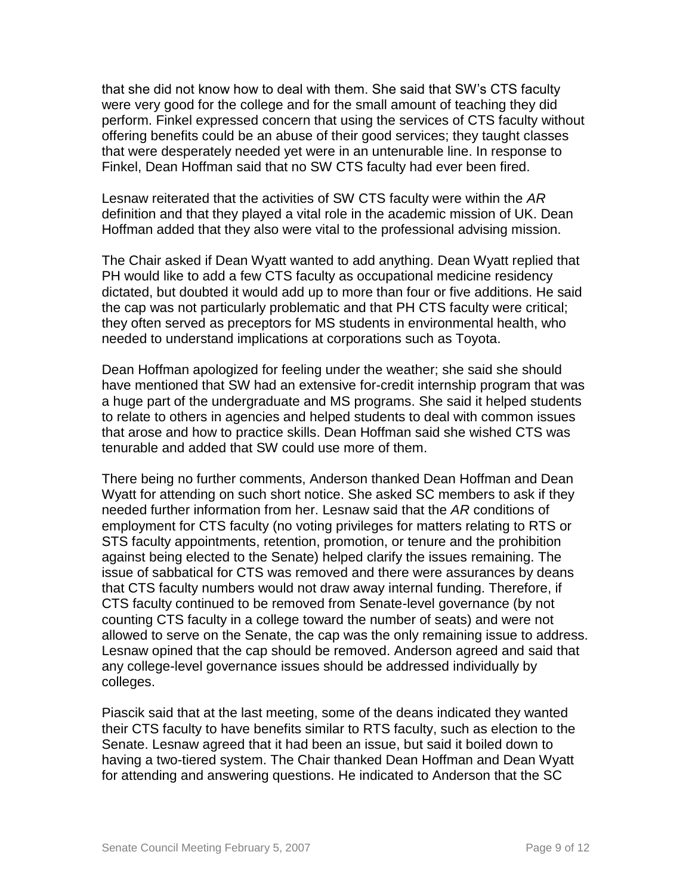that she did not know how to deal with them. She said that SW's CTS faculty were very good for the college and for the small amount of teaching they did perform. Finkel expressed concern that using the services of CTS faculty without offering benefits could be an abuse of their good services; they taught classes that were desperately needed yet were in an untenurable line. In response to Finkel, Dean Hoffman said that no SW CTS faculty had ever been fired.

Lesnaw reiterated that the activities of SW CTS faculty were within the *AR* definition and that they played a vital role in the academic mission of UK. Dean Hoffman added that they also were vital to the professional advising mission.

The Chair asked if Dean Wyatt wanted to add anything. Dean Wyatt replied that PH would like to add a few CTS faculty as occupational medicine residency dictated, but doubted it would add up to more than four or five additions. He said the cap was not particularly problematic and that PH CTS faculty were critical; they often served as preceptors for MS students in environmental health, who needed to understand implications at corporations such as Toyota.

Dean Hoffman apologized for feeling under the weather; she said she should have mentioned that SW had an extensive for-credit internship program that was a huge part of the undergraduate and MS programs. She said it helped students to relate to others in agencies and helped students to deal with common issues that arose and how to practice skills. Dean Hoffman said she wished CTS was tenurable and added that SW could use more of them.

There being no further comments, Anderson thanked Dean Hoffman and Dean Wyatt for attending on such short notice. She asked SC members to ask if they needed further information from her. Lesnaw said that the *AR* conditions of employment for CTS faculty (no voting privileges for matters relating to RTS or STS faculty appointments, retention, promotion, or tenure and the prohibition against being elected to the Senate) helped clarify the issues remaining. The issue of sabbatical for CTS was removed and there were assurances by deans that CTS faculty numbers would not draw away internal funding. Therefore, if CTS faculty continued to be removed from Senate-level governance (by not counting CTS faculty in a college toward the number of seats) and were not allowed to serve on the Senate, the cap was the only remaining issue to address. Lesnaw opined that the cap should be removed. Anderson agreed and said that any college-level governance issues should be addressed individually by colleges.

Piascik said that at the last meeting, some of the deans indicated they wanted their CTS faculty to have benefits similar to RTS faculty, such as election to the Senate. Lesnaw agreed that it had been an issue, but said it boiled down to having a two-tiered system. The Chair thanked Dean Hoffman and Dean Wyatt for attending and answering questions. He indicated to Anderson that the SC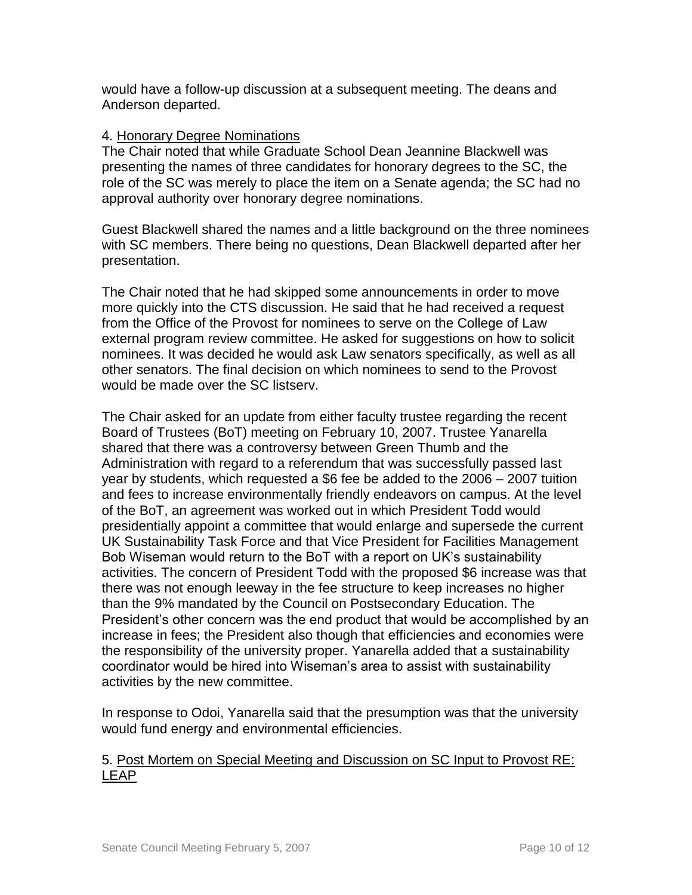would have a follow-up discussion at a subsequent meeting. The deans and Anderson departed.

### 4. Honorary Degree Nominations

The Chair noted that while Graduate School Dean Jeannine Blackwell was presenting the names of three candidates for honorary degrees to the SC, the role of the SC was merely to place the item on a Senate agenda; the SC had no approval authority over honorary degree nominations.

Guest Blackwell shared the names and a little background on the three nominees with SC members. There being no questions, Dean Blackwell departed after her presentation.

The Chair noted that he had skipped some announcements in order to move more quickly into the CTS discussion. He said that he had received a request from the Office of the Provost for nominees to serve on the College of Law external program review committee. He asked for suggestions on how to solicit nominees. It was decided he would ask Law senators specifically, as well as all other senators. The final decision on which nominees to send to the Provost would be made over the SC listserv.

The Chair asked for an update from either faculty trustee regarding the recent Board of Trustees (BoT) meeting on February 10, 2007. Trustee Yanarella shared that there was a controversy between Green Thumb and the Administration with regard to a referendum that was successfully passed last year by students, which requested a \$6 fee be added to the 2006 – 2007 tuition and fees to increase environmentally friendly endeavors on campus. At the level of the BoT, an agreement was worked out in which President Todd would presidentially appoint a committee that would enlarge and supersede the current UK Sustainability Task Force and that Vice President for Facilities Management Bob Wiseman would return to the BoT with a report on UK's sustainability activities. The concern of President Todd with the proposed \$6 increase was that there was not enough leeway in the fee structure to keep increases no higher than the 9% mandated by the Council on Postsecondary Education. The President's other concern was the end product that would be accomplished by an increase in fees; the President also though that efficiencies and economies were the responsibility of the university proper. Yanarella added that a sustainability coordinator would be hired into Wiseman's area to assist with sustainability activities by the new committee.

In response to Odoi, Yanarella said that the presumption was that the university would fund energy and environmental efficiencies.

## 5. Post Mortem on Special Meeting and Discussion on SC Input to Provost RE: LEAP